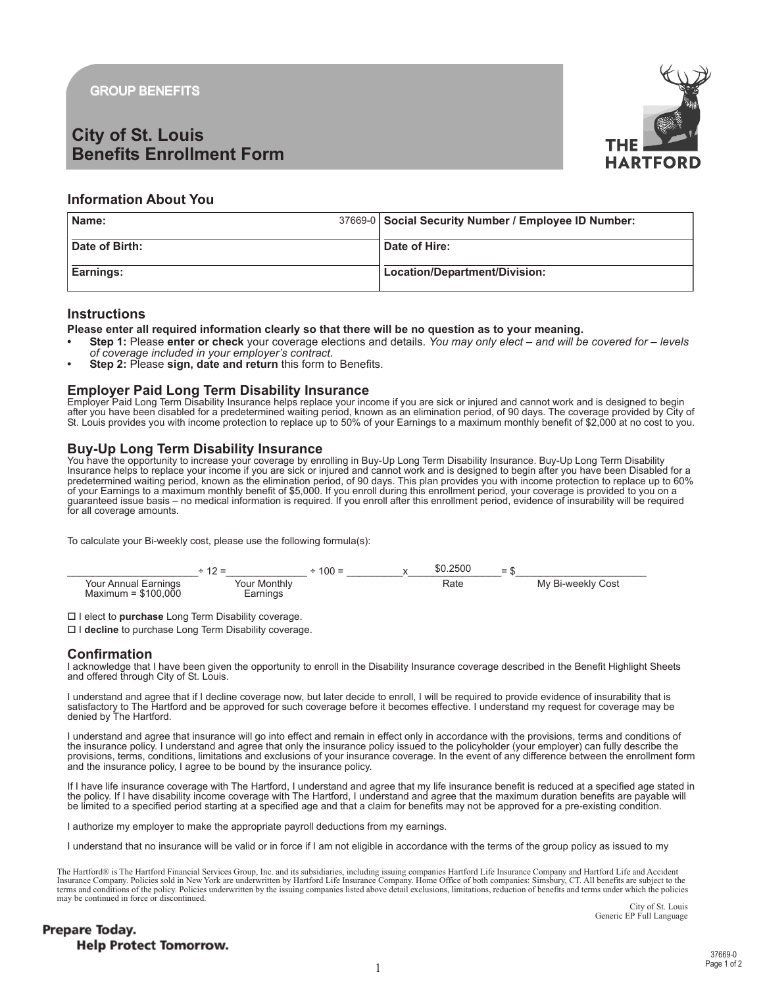**GROUP BENEFITS** 

# **City of St. Louis Benefits Enrollment Form**



## **Information About You**

| Name:          | 37669-0   Social Security Number / Employee ID Number: |
|----------------|--------------------------------------------------------|
| Date of Birth: | Date of Hire:                                          |
| Earnings:      | Location/Department/Division:                          |

### **Instructions**

Please enter all required information clearly so that there will be no question as to your meaning.

- Step 1: Please enter or check your coverage elections and details. You may only elect and will be covered for levels of coverage included in your employer's contract.
- Step 2: Please sign, date and return this form to Benefits.

Employer Paid Long Term Disability Insurance<br>Employer Paid Long Term Disability Insurance helps replace your income if you are sick or injured and cannot work and is designed to begin<br>after you have been disabled for a pre St. Louis provides you with income protection to replace up to 50% of your Earnings to a maximum monthly benefit of \$2,000 at no cost to you.

### **Buy-Up Long Term Disability Insurance**

The University of the Upponunity to increase your coverage by enrolling in Buy-Up Long Term Disability Insurance. Buy-Up Long Term Disability Insurance helps to replace your income if you are sick or injured and cannot wor You have the opportunity to increase your coverage by enrolling in Buy-Up Long Term Disability Insurance. Buy-Up Long Term Disability

To calculate your Bi-weekly cost, please use the following formula(s):



□ I elect to purchase Long Term Disability coverage.

□ I decline to purchase Long Term Disability coverage.

## **Confirmation**

I acknowledge that I have been given the opportunity to enroll in the Disability Insurance coverage described in the Benefit Highlight Sheets and offered through City of St. Louis.

I understand and agree that if I decline coverage now, but later decide to enroll, I will be required to provide evidence of insurability that is callsfactory to The Hartford and be approved for such coverage before it becomes effective. I understand my request for coverage may be denied by The Hartford.

I understand and agree that insurance will go into effect and remain in effect only in accordance with the provisions, terms and conditions of the insurance policy. I understand and agree that only the insurance policy issued to the policyholder (your employer) can fully describe the provisions, terms, conditions, limitations and exclusions of your insurance coverage. In the event of any difference between the enrollment form and the insurance policy. I agree to be bound by the insurance policy.

If I have life insurance coverage with The Hartford, I understand and agree that my life insurance benefit is reduced at a specified age stated in the policy. If I have disability income coverage with The Hartford, I understand and agree that the maximum duration benefits are payable will be limited to a specified period starting at a specified age and that a claim for benefits may not be approved for a pre-existing condition.

I authorize my employer to make the appropriate payroll deductions from my earnings.

I understand that no insurance will be valid or in force if I am not eligible in accordance with the terms of the group policy as issued to my

The Hartford® is The Hartford Financial Services Group, Inc. and its subsidiaries, including issuing companies Hartford Life Insurance Company and Hartford Life and Accident Insurance Company. Policies sold in New York are underwritten by Hartford Life Insurance Company. Home Office of both companies: Simsbury, CT. All benefits are subject to the terms and conditions of the policy. Policies underwritten by the issuing companies listed above detail exclusions, limitations, reduction of benefits and terms under which the policies may be continued in force or disconti